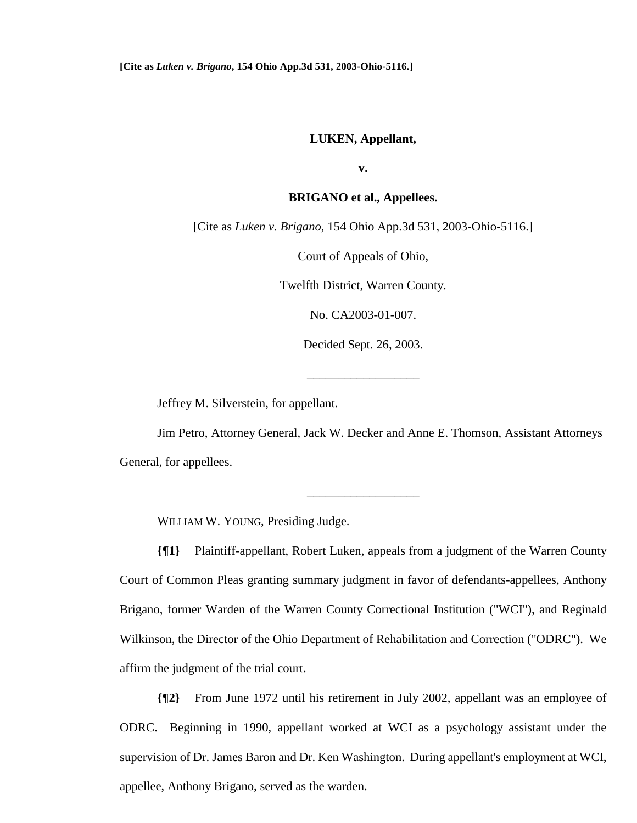## **LUKEN, Appellant,**

**v.** 

## **BRIGANO et al., Appellees.**

[Cite as *Luken v. Brigano*, 154 Ohio App.3d 531, 2003-Ohio-5116.]

Court of Appeals of Ohio,

Twelfth District, Warren County.

No. CA2003-01-007.

Decided Sept. 26, 2003.

\_\_\_\_\_\_\_\_\_\_\_\_\_\_\_\_\_\_

Jeffrey M. Silverstein, for appellant.

 Jim Petro, Attorney General, Jack W. Decker and Anne E. Thomson, Assistant Attorneys General, for appellees.

\_\_\_\_\_\_\_\_\_\_\_\_\_\_\_\_\_\_

WILLIAM W. YOUNG, Presiding Judge.

**{¶1}** Plaintiff-appellant, Robert Luken, appeals from a judgment of the Warren County Court of Common Pleas granting summary judgment in favor of defendants-appellees, Anthony Brigano, former Warden of the Warren County Correctional Institution ("WCI"), and Reginald Wilkinson, the Director of the Ohio Department of Rehabilitation and Correction ("ODRC"). We affirm the judgment of the trial court.

**{¶2}** From June 1972 until his retirement in July 2002, appellant was an employee of ODRC. Beginning in 1990, appellant worked at WCI as a psychology assistant under the supervision of Dr. James Baron and Dr. Ken Washington. During appellant's employment at WCI, appellee, Anthony Brigano, served as the warden.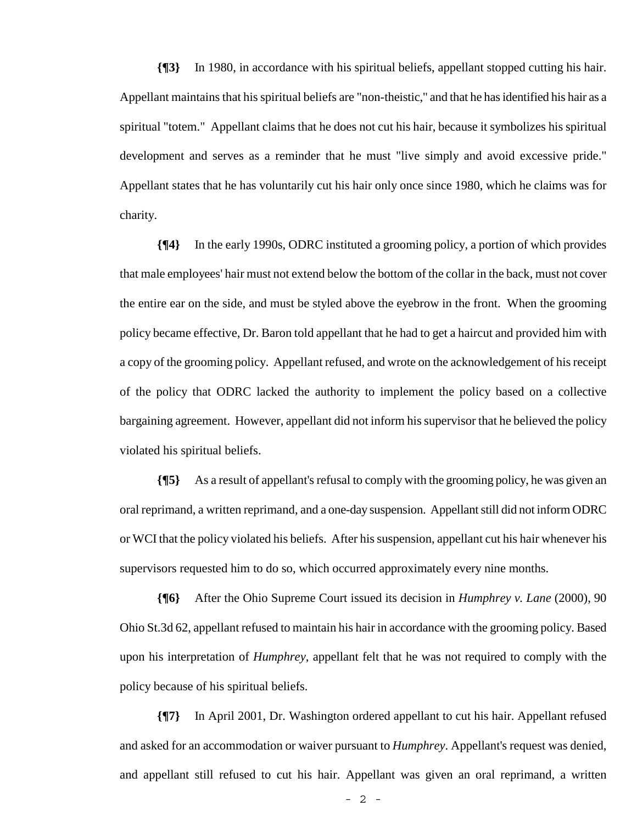**{¶3}** In 1980, in accordance with his spiritual beliefs, appellant stopped cutting his hair. Appellant maintains that his spiritual beliefs are "non-theistic," and that he has identified his hair as a spiritual "totem." Appellant claims that he does not cut his hair, because it symbolizes his spiritual development and serves as a reminder that he must "live simply and avoid excessive pride." Appellant states that he has voluntarily cut his hair only once since 1980, which he claims was for charity.

**{¶4}** In the early 1990s, ODRC instituted a grooming policy, a portion of which provides that male employees' hair must not extend below the bottom of the collar in the back, must not cover the entire ear on the side, and must be styled above the eyebrow in the front. When the grooming policy became effective, Dr. Baron told appellant that he had to get a haircut and provided him with a copy of the grooming policy. Appellant refused, and wrote on the acknowledgement of his receipt of the policy that ODRC lacked the authority to implement the policy based on a collective bargaining agreement. However, appellant did not inform his supervisor that he believed the policy violated his spiritual beliefs.

**{¶5}** As a result of appellant's refusal to comply with the grooming policy, he was given an oral reprimand, a written reprimand, and a one-day suspension. Appellant still did not inform ODRC or WCI that the policy violated his beliefs. After his suspension, appellant cut his hair whenever his supervisors requested him to do so, which occurred approximately every nine months.

**{¶6}** After the Ohio Supreme Court issued its decision in *Humphrey v. Lane* (2000), 90 Ohio St.3d 62, appellant refused to maintain his hair in accordance with the grooming policy. Based upon his interpretation of *Humphrey*, appellant felt that he was not required to comply with the policy because of his spiritual beliefs.

**{¶7}** In April 2001, Dr. Washington ordered appellant to cut his hair. Appellant refused and asked for an accommodation or waiver pursuant to *Humphrey*. Appellant's request was denied, and appellant still refused to cut his hair. Appellant was given an oral reprimand, a written

- 2 -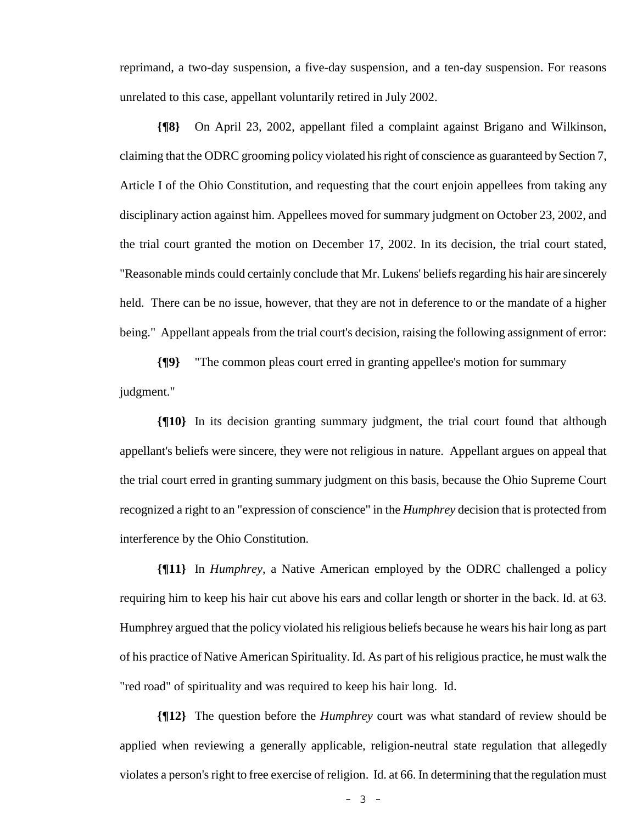reprimand, a two-day suspension, a five-day suspension, and a ten-day suspension. For reasons unrelated to this case, appellant voluntarily retired in July 2002.

**{¶8}** On April 23, 2002, appellant filed a complaint against Brigano and Wilkinson, claiming that the ODRC grooming policy violated his right of conscience as guaranteed by Section 7, Article I of the Ohio Constitution, and requesting that the court enjoin appellees from taking any disciplinary action against him. Appellees moved for summary judgment on October 23, 2002, and the trial court granted the motion on December 17, 2002. In its decision, the trial court stated, "Reasonable minds could certainly conclude that Mr. Lukens' beliefs regarding his hair are sincerely held. There can be no issue, however, that they are not in deference to or the mandate of a higher being." Appellant appeals from the trial court's decision, raising the following assignment of error:

**{¶9}** "The common pleas court erred in granting appellee's motion for summary judgment."

**{¶10}** In its decision granting summary judgment, the trial court found that although appellant's beliefs were sincere, they were not religious in nature. Appellant argues on appeal that the trial court erred in granting summary judgment on this basis, because the Ohio Supreme Court recognized a right to an "expression of conscience" in the *Humphrey* decision that is protected from interference by the Ohio Constitution.

**{¶11}** In *Humphrey*, a Native American employed by the ODRC challenged a policy requiring him to keep his hair cut above his ears and collar length or shorter in the back. Id. at 63. Humphrey argued that the policy violated his religious beliefs because he wears his hair long as part of his practice of Native American Spirituality. Id. As part of his religious practice, he must walk the "red road" of spirituality and was required to keep his hair long. Id.

**{¶12}** The question before the *Humphrey* court was what standard of review should be applied when reviewing a generally applicable, religion-neutral state regulation that allegedly violates a person's right to free exercise of religion. Id. at 66. In determining that the regulation must

- 3 -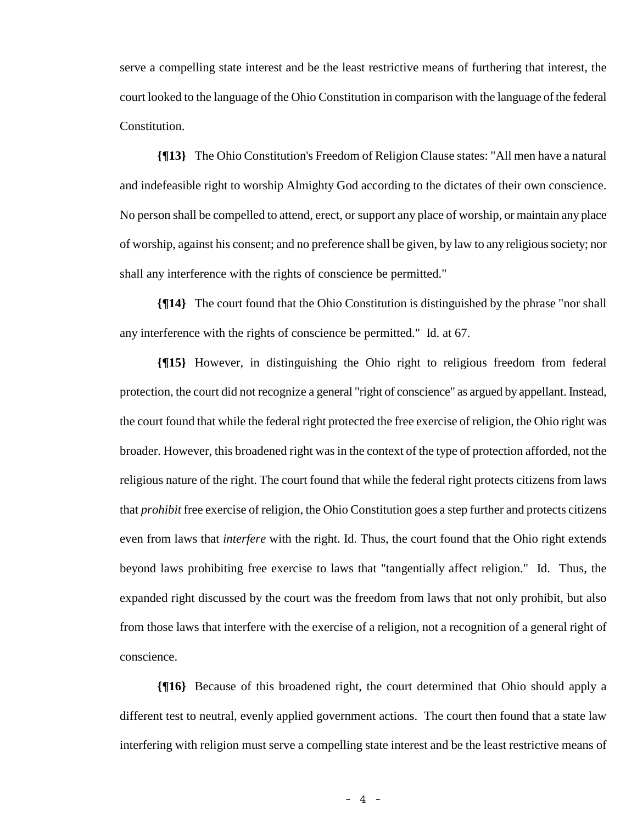serve a compelling state interest and be the least restrictive means of furthering that interest, the court looked to the language of the Ohio Constitution in comparison with the language of the federal Constitution.

**{¶13}** The Ohio Constitution's Freedom of Religion Clause states: "All men have a natural and indefeasible right to worship Almighty God according to the dictates of their own conscience. No person shall be compelled to attend, erect, or support any place of worship, or maintain any place of worship, against his consent; and no preference shall be given, by law to any religious society; nor shall any interference with the rights of conscience be permitted."

**{¶14}** The court found that the Ohio Constitution is distinguished by the phrase "nor shall any interference with the rights of conscience be permitted." Id. at 67.

**{¶15}** However, in distinguishing the Ohio right to religious freedom from federal protection, the court did not recognize a general "right of conscience" as argued by appellant. Instead, the court found that while the federal right protected the free exercise of religion, the Ohio right was broader. However, this broadened right was in the context of the type of protection afforded, not the religious nature of the right. The court found that while the federal right protects citizens from laws that *prohibit* free exercise of religion, the Ohio Constitution goes a step further and protects citizens even from laws that *interfere* with the right. Id. Thus, the court found that the Ohio right extends beyond laws prohibiting free exercise to laws that "tangentially affect religion." Id. Thus, the expanded right discussed by the court was the freedom from laws that not only prohibit, but also from those laws that interfere with the exercise of a religion, not a recognition of a general right of conscience.

**{¶16}** Because of this broadened right, the court determined that Ohio should apply a different test to neutral, evenly applied government actions. The court then found that a state law interfering with religion must serve a compelling state interest and be the least restrictive means of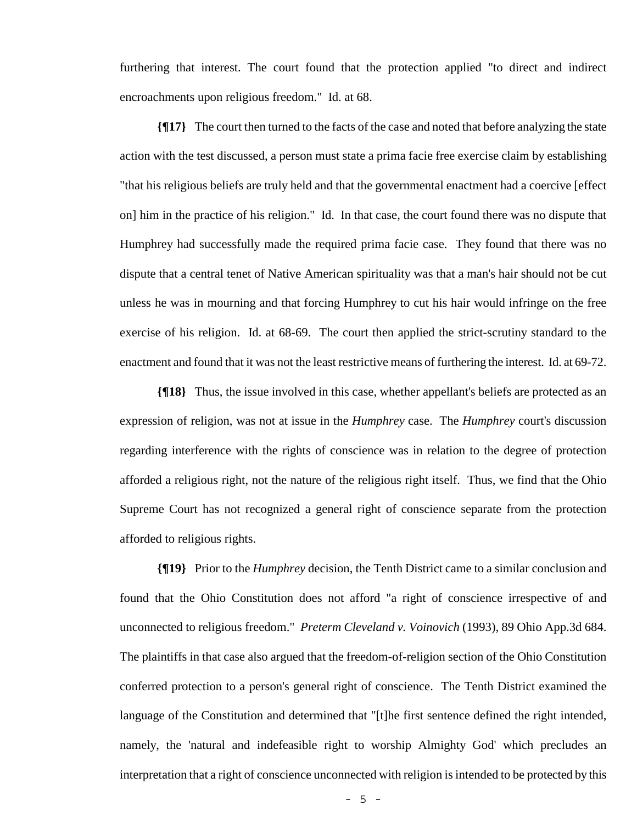furthering that interest. The court found that the protection applied "to direct and indirect encroachments upon religious freedom." Id. at 68.

**{¶17}** The court then turned to the facts of the case and noted that before analyzing the state action with the test discussed, a person must state a prima facie free exercise claim by establishing "that his religious beliefs are truly held and that the governmental enactment had a coercive [effect on] him in the practice of his religion." Id. In that case, the court found there was no dispute that Humphrey had successfully made the required prima facie case. They found that there was no dispute that a central tenet of Native American spirituality was that a man's hair should not be cut unless he was in mourning and that forcing Humphrey to cut his hair would infringe on the free exercise of his religion. Id. at 68-69. The court then applied the strict-scrutiny standard to the enactment and found that it was not the least restrictive means of furthering the interest. Id. at 69-72.

**{¶18}** Thus, the issue involved in this case, whether appellant's beliefs are protected as an expression of religion, was not at issue in the *Humphrey* case. The *Humphrey* court's discussion regarding interference with the rights of conscience was in relation to the degree of protection afforded a religious right, not the nature of the religious right itself. Thus, we find that the Ohio Supreme Court has not recognized a general right of conscience separate from the protection afforded to religious rights.

**{¶19}** Prior to the *Humphrey* decision, the Tenth District came to a similar conclusion and found that the Ohio Constitution does not afford "a right of conscience irrespective of and unconnected to religious freedom." *Preterm Cleveland v. Voinovich* (1993), 89 Ohio App.3d 684. The plaintiffs in that case also argued that the freedom-of-religion section of the Ohio Constitution conferred protection to a person's general right of conscience. The Tenth District examined the language of the Constitution and determined that "[t]he first sentence defined the right intended, namely, the 'natural and indefeasible right to worship Almighty God' which precludes an interpretation that a right of conscience unconnected with religion is intended to be protected by this

- 5 -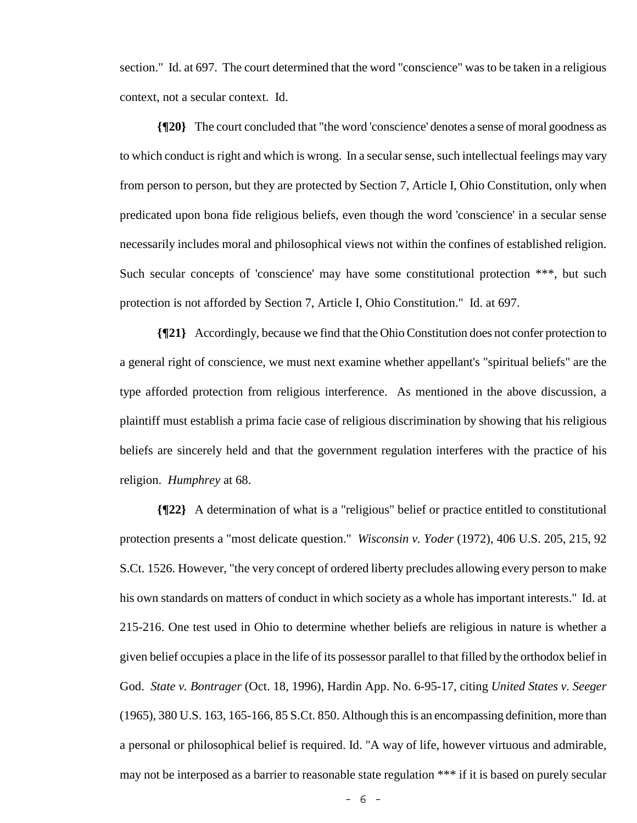section." Id. at 697. The court determined that the word "conscience" was to be taken in a religious context, not a secular context. Id.

**{¶20}** The court concluded that "the word 'conscience' denotes a sense of moral goodness as to which conduct is right and which is wrong. In a secular sense, such intellectual feelings may vary from person to person, but they are protected by Section 7, Article I, Ohio Constitution, only when predicated upon bona fide religious beliefs, even though the word 'conscience' in a secular sense necessarily includes moral and philosophical views not within the confines of established religion. Such secular concepts of 'conscience' may have some constitutional protection \*\*\*, but such protection is not afforded by Section 7, Article I, Ohio Constitution." Id. at 697.

**{¶21}** Accordingly, because we find that the Ohio Constitution does not confer protection to a general right of conscience, we must next examine whether appellant's "spiritual beliefs" are the type afforded protection from religious interference. As mentioned in the above discussion, a plaintiff must establish a prima facie case of religious discrimination by showing that his religious beliefs are sincerely held and that the government regulation interferes with the practice of his religion. *Humphrey* at 68.

**{¶22}** A determination of what is a "religious" belief or practice entitled to constitutional protection presents a "most delicate question." *Wisconsin v. Yoder* (1972), 406 U.S. 205, 215, 92 S.Ct. 1526. However, "the very concept of ordered liberty precludes allowing every person to make his own standards on matters of conduct in which society as a whole has important interests." Id. at 215-216. One test used in Ohio to determine whether beliefs are religious in nature is whether a given belief occupies a place in the life of its possessor parallel to that filled by the orthodox belief in God. *State v. Bontrager* (Oct. 18, 1996), Hardin App. No. 6-95-17, citing *United States v. Seeger* (1965), 380 U.S. 163, 165-166, 85 S.Ct. 850. Although this is an encompassing definition, more than a personal or philosophical belief is required. Id. "A way of life, however virtuous and admirable, may not be interposed as a barrier to reasonable state regulation \*\*\* if it is based on purely secular

- 6 -